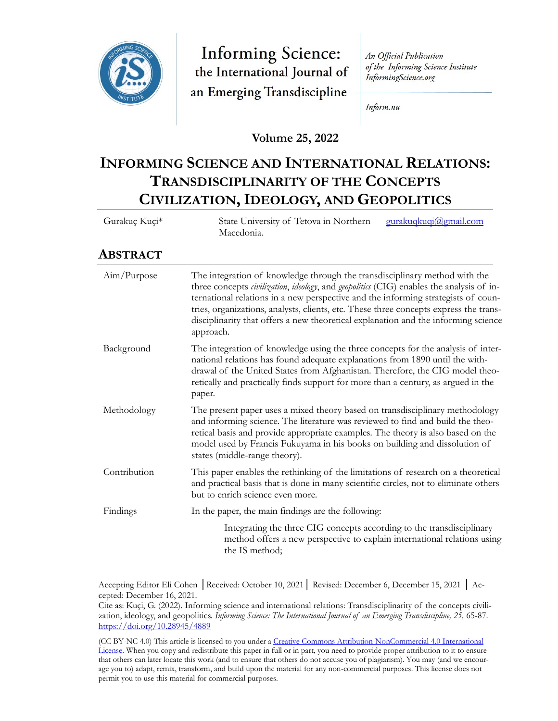

**Informing Science:** the International Journal of an Emerging Transdiscipline

An Official Publication of the Informing Science Institute InformingScience.org

Inform.nu

**Volume 25, 2022**

# **INFORMING SCIENCE AND INTERNATIONAL RELATIONS: TRANSDISCIPLINARITY OF THE CONCEPTS CIVILIZATION, IDEOLOGY, AND GEOPOLITICS**

| Gurakuç Kuçi* | State University of Tetova in Northern<br>gurakuqkuqi@gmail.com<br>Macedonia.                                                                                                                                                                                                                                                                                                                                                                                          |  |
|---------------|------------------------------------------------------------------------------------------------------------------------------------------------------------------------------------------------------------------------------------------------------------------------------------------------------------------------------------------------------------------------------------------------------------------------------------------------------------------------|--|
| ABSTRACT      |                                                                                                                                                                                                                                                                                                                                                                                                                                                                        |  |
| Aim/Purpose   | The integration of knowledge through the transdisciplinary method with the<br>three concepts <i>civilization, ideology</i> , and <i>geopolitics</i> (CIG) enables the analysis of in-<br>ternational relations in a new perspective and the informing strategists of coun-<br>tries, organizations, analysts, clients, etc. These three concepts express the trans-<br>disciplinarity that offers a new theoretical explanation and the informing science<br>approach. |  |
| Background    | The integration of knowledge using the three concepts for the analysis of inter-<br>national relations has found adequate explanations from 1890 until the with-<br>drawal of the United States from Afghanistan Therefore, the CIC model theo                                                                                                                                                                                                                         |  |

|             | drawal of the United States from Afghanistan. Therefore, the CIG model theo-<br>retically and practically finds support for more than a century, as argued in the<br>paper. |
|-------------|-----------------------------------------------------------------------------------------------------------------------------------------------------------------------------|
| Methodology | The present paper uses a mixed theory based on transdisciplinary methodology                                                                                                |
|             | and informing science. The literature was reviewed to find and build the theo-<br>retical basis and provide appropriate examples. The theory is also based on the           |

model used by Francis Fukuyama in his books on building and dissolution of

states (middle-range theory). Contribution This paper enables the rethinking of the limitations of research on a theoretical and practical basis that is done in many scientific circles, not to eliminate others but to enrich science even more.

Findings In the paper, the main findings are the following: Integrating the three CIG concepts according to the transdisciplinary method offers a new perspective to explain international relations using the IS method;

Accepting Editor Eli Cohen │Received: October 10, 2021│ Revised: December 6, December 15, 2021 │ Accepted: December 16, 2021.

Cite as: Kuçi, G. (2022). Informing science and international relations: Transdisciplinarity of the concepts civilization, ideology, and geopolitics. *Informing Science: The International Journal of an Emerging Transdiscipline, 25,* 65-87. <https://doi.org/10.28945/4889>

(CC BY-NC 4.0) This article is licensed to you under a [Creative Commons Attribution-NonCommercial 4.0 International](https://creativecommons.org/licenses/by-nc/4.0/)  [License.](https://creativecommons.org/licenses/by-nc/4.0/) When you copy and redistribute this paper in full or in part, you need to provide proper attribution to it to ensure that others can later locate this work (and to ensure that others do not accuse you of plagiarism). You may (and we encourage you to) adapt, remix, transform, and build upon the material for any non-commercial purposes. This license does not permit you to use this material for commercial purposes.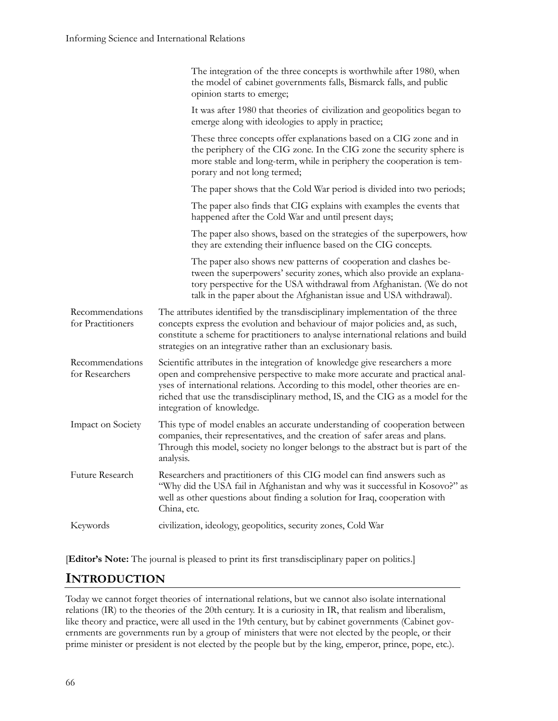|                                      | The integration of the three concepts is worthwhile after 1980, when<br>the model of cabinet governments falls, Bismarck falls, and public<br>opinion starts to emerge;                                                                                                                                                                                            |  |
|--------------------------------------|--------------------------------------------------------------------------------------------------------------------------------------------------------------------------------------------------------------------------------------------------------------------------------------------------------------------------------------------------------------------|--|
|                                      | It was after 1980 that theories of civilization and geopolitics began to<br>emerge along with ideologies to apply in practice;                                                                                                                                                                                                                                     |  |
|                                      | These three concepts offer explanations based on a CIG zone and in<br>the periphery of the CIG zone. In the CIG zone the security sphere is<br>more stable and long-term, while in periphery the cooperation is tem-<br>porary and not long termed;                                                                                                                |  |
|                                      | The paper shows that the Cold War period is divided into two periods;                                                                                                                                                                                                                                                                                              |  |
|                                      | The paper also finds that CIG explains with examples the events that<br>happened after the Cold War and until present days;                                                                                                                                                                                                                                        |  |
|                                      | The paper also shows, based on the strategies of the superpowers, how<br>they are extending their influence based on the CIG concepts.                                                                                                                                                                                                                             |  |
|                                      | The paper also shows new patterns of cooperation and clashes be-<br>tween the superpowers' security zones, which also provide an explana-<br>tory perspective for the USA withdrawal from Afghanistan. (We do not<br>talk in the paper about the Afghanistan issue and USA withdrawal).                                                                            |  |
| Recommendations<br>for Practitioners | The attributes identified by the transdisciplinary implementation of the three<br>concepts express the evolution and behaviour of major policies and, as such,<br>constitute a scheme for practitioners to analyse international relations and build<br>strategies on an integrative rather than an exclusionary basis.                                            |  |
| Recommendations<br>for Researchers   | Scientific attributes in the integration of knowledge give researchers a more<br>open and comprehensive perspective to make more accurate and practical anal-<br>yses of international relations. According to this model, other theories are en-<br>riched that use the transdisciplinary method, IS, and the CIG as a model for the<br>integration of knowledge. |  |
| Impact on Society                    | This type of model enables an accurate understanding of cooperation between<br>companies, their representatives, and the creation of safer areas and plans.<br>Through this model, society no longer belongs to the abstract but is part of the<br>analysis.                                                                                                       |  |
| Future Research                      | Researchers and practitioners of this CIG model can find answers such as<br>"Why did the USA fail in Afghanistan and why was it successful in Kosovo?" as<br>well as other questions about finding a solution for Iraq, cooperation with<br>China, etc.                                                                                                            |  |
| Keywords                             |                                                                                                                                                                                                                                                                                                                                                                    |  |

[**Editor's Note:** The journal is pleased to print its first transdisciplinary paper on politics.]

## **INTRODUCTION**

Today we cannot forget theories of international relations, but we cannot also isolate international relations (IR) to the theories of the 20th century. It is a curiosity in IR, that realism and liberalism, like theory and practice, were all used in the 19th century, but by cabinet governments (Cabinet governments are governments run by a group of ministers that were not elected by the people, or their prime minister or president is not elected by the people but by the king, emperor, prince, pope, etc.).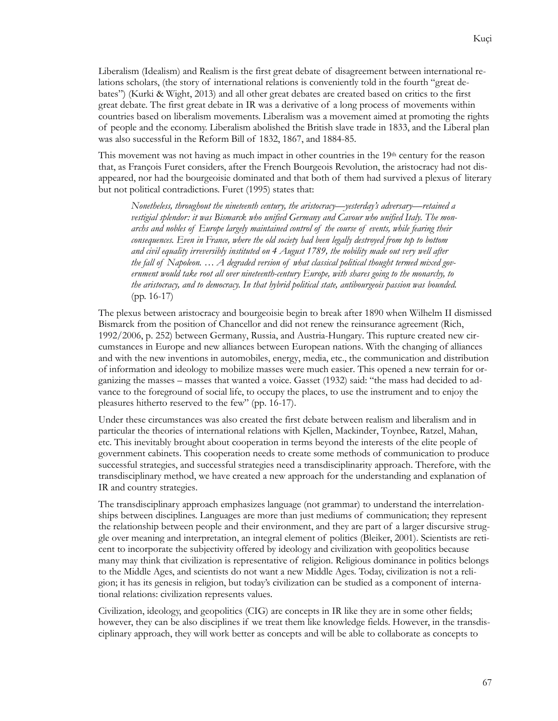Liberalism (Idealism) and Realism is the first great debate of disagreement between international relations scholars, (the story of international relations is conveniently told in the fourth "great debates") (Kurki & Wight, 2013) and all other great debates are created based on critics to the first great debate. The first great debate in IR was a derivative of a long process of movements within countries based on liberalism movements. Liberalism was a movement aimed at promoting the rights of people and the economy. Liberalism abolished the British slave trade in 1833, and the Liberal plan was also successful in the Reform Bill of 1832, 1867, and 1884-85.

This movement was not having as much impact in other countries in the 19<sup>th</sup> century for the reason that, as François Furet considers, after the French Bourgeois Revolution, the aristocracy had not disappeared, nor had the bourgeoisie dominated and that both of them had survived a plexus of literary but not political contradictions. Furet (1995) states that:

*Nonetheless, throughout the nineteenth century, the aristocracy—yesterday's adversary—retained a vestigial splendor: it was Bismarck who unified Germany and Cavour who unified Italy. The monarchs and nobles of Europe largely maintained control of the course of events, while fearing their consequences. Even in France, where the old society had been legally destroyed from top to bottom and civil equality irreversibly instituted on 4 August 1789, the nobility made out very well after the fall of Napoleon. … A degraded version of what classical political thought termed mixed government would take root all over nineteenth-century Europe, with shares going to the monarchy, to the aristocracy, and to democracy. In that hybrid political state, antibourgeois passion was bounded.* (pp. 16-17)

The plexus between aristocracy and bourgeoisie begin to break after 1890 when Wilhelm II dismissed Bismarck from the position of Chancellor and did not renew the reinsurance agreement (Rich, 1992/2006, p. 252) between Germany, Russia, and Austria-Hungary. This rupture created new circumstances in Europe and new alliances between European nations. With the changing of alliances and with the new inventions in automobiles, energy, media, etc., the communication and distribution of information and ideology to mobilize masses were much easier. This opened a new terrain for organizing the masses – masses that wanted a voice. Gasset (1932) said: "the mass had decided to advance to the foreground of social life, to occupy the places, to use the instrument and to enjoy the pleasures hitherto reserved to the few" (pp. 16-17).

Under these circumstances was also created the first debate between realism and liberalism and in particular the theories of international relations with Kjellen, Mackinder, Toynbee, Ratzel, Mahan, etc. This inevitably brought about cooperation in terms beyond the interests of the elite people of government cabinets. This cooperation needs to create some methods of communication to produce successful strategies, and successful strategies need a transdisciplinarity approach. Therefore, with the transdisciplinary method, we have created a new approach for the understanding and explanation of IR and country strategies.

The transdisciplinary approach emphasizes language (not grammar) to understand the interrelationships between disciplines. Languages are more than just mediums of communication; they represent the relationship between people and their environment, and they are part of a larger discursive struggle over meaning and interpretation, an integral element of politics (Bleiker, 2001). Scientists are reticent to incorporate the subjectivity offered by ideology and civilization with geopolitics because many may think that civilization is representative of religion. Religious dominance in politics belongs to the Middle Ages, and scientists do not want a new Middle Ages. Today, civilization is not a religion; it has its genesis in religion, but today's civilization can be studied as a component of international relations: civilization represents values.

Civilization, ideology, and geopolitics (CIG) are concepts in IR like they are in some other fields; however, they can be also disciplines if we treat them like knowledge fields. However, in the transdisciplinary approach, they will work better as concepts and will be able to collaborate as concepts to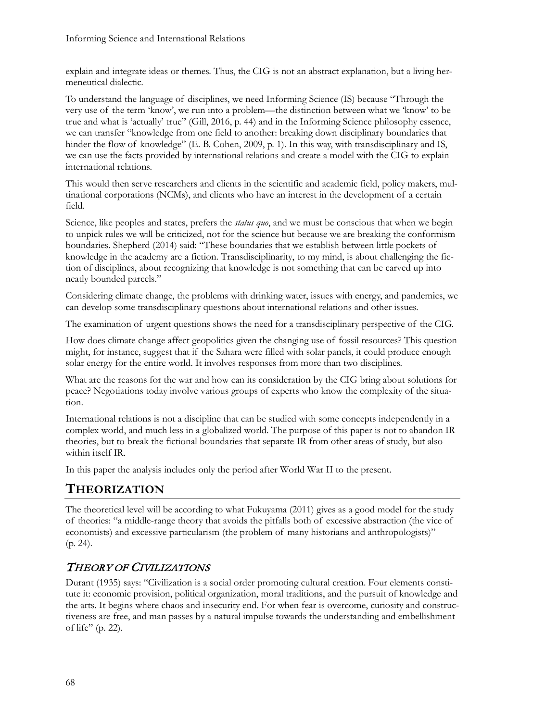explain and integrate ideas or themes. Thus, the CIG is not an abstract explanation, but a living hermeneutical dialectic.

To understand the language of disciplines, we need Informing Science (IS) because "Through the very use of the term 'know', we run into a problem—the distinction between what we 'know' to be true and what is 'actually' true" (Gill, 2016, p. 44) and in the Informing Science philosophy essence, we can transfer "knowledge from one field to another: breaking down disciplinary boundaries that hinder the flow of knowledge" (E. B. Cohen, 2009, p. 1). In this way, with transdisciplinary and IS, we can use the facts provided by international relations and create a model with the CIG to explain international relations.

This would then serve researchers and clients in the scientific and academic field, policy makers, multinational corporations (NCMs), and clients who have an interest in the development of a certain field.

Science, like peoples and states, prefers the *status quo*, and we must be conscious that when we begin to unpick rules we will be criticized, not for the science but because we are breaking the conformism boundaries. Shepherd (2014) said: "These boundaries that we establish between little pockets of knowledge in the academy are a fiction. Transdisciplinarity, to my mind, is about challenging the fiction of disciplines, about recognizing that knowledge is not something that can be carved up into neatly bounded parcels."

Considering climate change, the problems with drinking water, issues with energy, and pandemics, we can develop some transdisciplinary questions about international relations and other issues.

The examination of urgent questions shows the need for a transdisciplinary perspective of the CIG.

How does climate change affect geopolitics given the changing use of fossil resources? This question might, for instance, suggest that if the Sahara were filled with solar panels, it could produce enough solar energy for the entire world. It involves responses from more than two disciplines.

What are the reasons for the war and how can its consideration by the CIG bring about solutions for peace? Negotiations today involve various groups of experts who know the complexity of the situation.

International relations is not a discipline that can be studied with some concepts independently in a complex world, and much less in a globalized world. The purpose of this paper is not to abandon IR theories, but to break the fictional boundaries that separate IR from other areas of study, but also within itself IR.

In this paper the analysis includes only the period after World War II to the present.

## **THEORIZATION**

The theoretical level will be according to what Fukuyama (2011) gives as a good model for the study of theories: "a middle-range theory that avoids the pitfalls both of excessive abstraction (the vice of economists) and excessive particularism (the problem of many historians and anthropologists)" (p. 24).

### THEORY OF CIVILIZATIONS

Durant (1935) says: "Civilization is a social order promoting cultural creation. Four elements constitute it: economic provision, political organization, moral traditions, and the pursuit of knowledge and the arts. It begins where chaos and insecurity end. For when fear is overcome, curiosity and constructiveness are free, and man passes by a natural impulse towards the understanding and embellishment of life" (p. 22).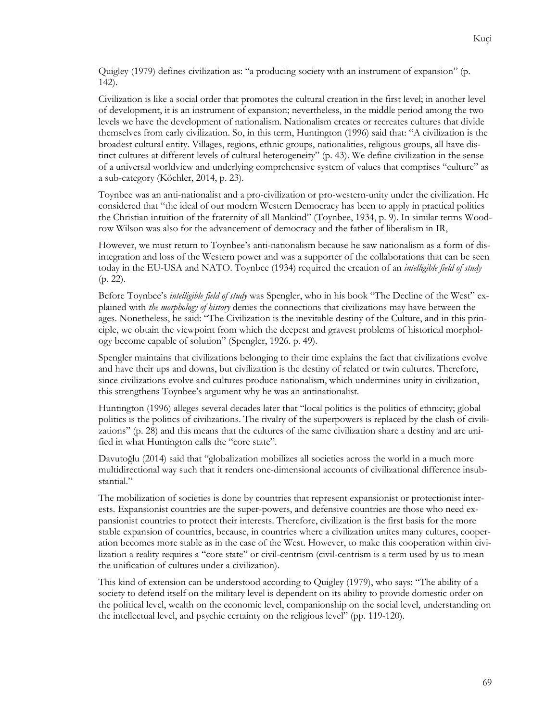Quigley (1979) defines civilization as: "a producing society with an instrument of expansion" (p. 142).

Civilization is like a social order that promotes the cultural creation in the first level; in another level of development, it is an instrument of expansion; nevertheless, in the middle period among the two levels we have the development of nationalism. Nationalism creates or recreates cultures that divide themselves from early civilization. So, in this term, Huntington (1996) said that: "A civilization is the broadest cultural entity. Villages, regions, ethnic groups, nationalities, religious groups, all have distinct cultures at different levels of cultural heterogeneity" (p. 43). We define civilization in the sense of a universal worldview and underlying comprehensive system of values that comprises "culture" as a sub-category (Köchler, 2014, p. 23).

Toynbee was an anti-nationalist and a pro-civilization or pro-western-unity under the civilization. He considered that "the ideal of our modern Western Democracy has been to apply in practical politics the Christian intuition of the fraternity of all Mankind" (Toynbee, 1934, p. 9). In similar terms Woodrow Wilson was also for the advancement of democracy and the father of liberalism in IR,

However, we must return to Toynbee's anti-nationalism because he saw nationalism as a form of disintegration and loss of the Western power and was a supporter of the collaborations that can be seen today in the EU-USA and NATO. Toynbee (1934) required the creation of an *intelligible field of study*  (p. 22).

Before Toynbee's *intelligible field of study* was Spengler, who in his book "The Decline of the West" explained with *the morphology of history* denies the connections that civilizations may have between the ages. Nonetheless, he said: "The Civilization is the inevitable destiny of the Culture, and in this principle, we obtain the viewpoint from which the deepest and gravest problems of historical morphology become capable of solution" (Spengler, 1926. p. 49).

Spengler maintains that civilizations belonging to their time explains the fact that civilizations evolve and have their ups and downs, but civilization is the destiny of related or twin cultures. Therefore, since civilizations evolve and cultures produce nationalism, which undermines unity in civilization, this strengthens Toynbee's argument why he was an antinationalist.

Huntington (1996) alleges several decades later that "local politics is the politics of ethnicity; global politics is the politics of civilizations. The rivalry of the superpowers is replaced by the clash of civilizations" (p. 28) and this means that the cultures of the same civilization share a destiny and are unified in what Huntington calls the "core state".

Davutoğlu (2014) said that "globalization mobilizes all societies across the world in a much more multidirectional way such that it renders one-dimensional accounts of civilizational difference insubstantial."

The mobilization of societies is done by countries that represent expansionist or protectionist interests. Expansionist countries are the super-powers, and defensive countries are those who need expansionist countries to protect their interests. Therefore, civilization is the first basis for the more stable expansion of countries, because, in countries where a civilization unites many cultures, cooperation becomes more stable as in the case of the West. However, to make this cooperation within civilization a reality requires a "core state" or civil-centrism (civil-centrism is a term used by us to mean the unification of cultures under a civilization).

This kind of extension can be understood according to Quigley (1979), who says: "The ability of a society to defend itself on the military level is dependent on its ability to provide domestic order on the political level, wealth on the economic level, companionship on the social level, understanding on the intellectual level, and psychic certainty on the religious level" (pp. 119-120).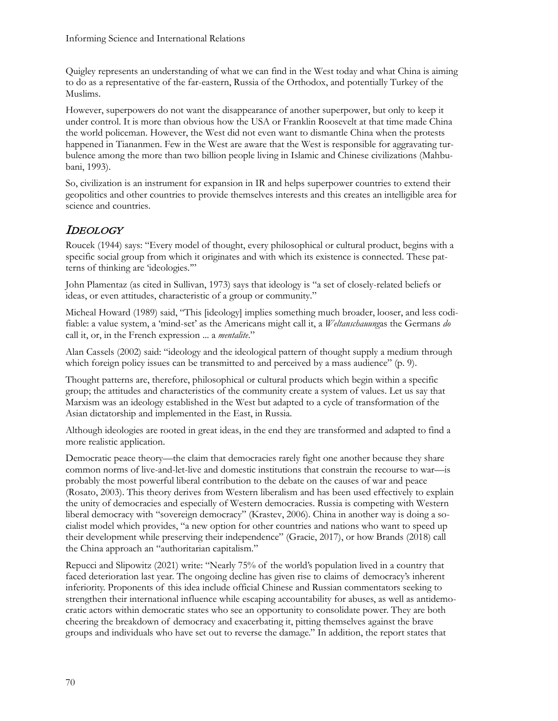Quigley represents an understanding of what we can find in the West today and what China is aiming to do as a representative of the far-eastern, Russia of the Orthodox, and potentially Turkey of the Muslims.

However, superpowers do not want the disappearance of another superpower, but only to keep it under control. It is more than obvious how the USA or Franklin Roosevelt at that time made China the world policeman. However, the West did not even want to dismantle China when the protests happened in Tiananmen. Few in the West are aware that the West is responsible for aggravating turbulence among the more than two billion people living in Islamic and Chinese civilizations (Mahbubani, 1993).

So, civilization is an instrument for expansion in IR and helps superpower countries to extend their geopolitics and other countries to provide themselves interests and this creates an intelligible area for science and countries.

### IDEOLOGY

Roucek (1944) says: "Every model of thought, every philosophical or cultural product, begins with a specific social group from which it originates and with which its existence is connected. These patterns of thinking are 'ideologies.'"

John Plamentaz (as cited in Sullivan, 1973) says that ideology is "a set of closely-related beliefs or ideas, or even attitudes, characteristic of a group or community."

Micheal Howard (1989) said, "This [ideology] implies something much broader, looser, and less codifiable: a value system, a 'mind-set' as the Americans might call it, a *Weltanschauung*as the Germans *do* call it, or, in the French expression ... a *mentalite*."

Alan Cassels (2002) said: "ideology and the ideological pattern of thought supply a medium through which foreign policy issues can be transmitted to and perceived by a mass audience" (p. 9).

Thought patterns are, therefore, philosophical or cultural products which begin within a specific group; the attitudes and characteristics of the community create a system of values. Let us say that Marxism was an ideology established in the West but adapted to a cycle of transformation of the Asian dictatorship and implemented in the East, in Russia.

Although ideologies are rooted in great ideas, in the end they are transformed and adapted to find a more realistic application.

Democratic peace theory—the claim that democracies rarely fight one another because they share common norms of live-and-let-live and domestic institutions that constrain the recourse to war—is probably the most powerful liberal contribution to the debate on the causes of war and peace (Rosato, 2003). This theory derives from Western liberalism and has been used effectively to explain the unity of democracies and especially of Western democracies. Russia is competing with Western liberal democracy with "sovereign democracy" (Krastev, 2006). China in another way is doing a socialist model which provides, "a new option for other countries and nations who want to speed up their development while preserving their independence" (Gracie, 2017), or how Brands (2018) call the China approach an "authoritarian capitalism."

Repucci and Slipowitz (2021) write: "Nearly 75% of the world's population lived in a country that faced deterioration last year. The ongoing decline has given rise to claims of democracy's inherent inferiority. Proponents of this idea include official Chinese and Russian commentators seeking to strengthen their international influence while escaping accountability for abuses, as well as antidemocratic actors within democratic states who see an opportunity to consolidate power. They are both cheering the breakdown of democracy and exacerbating it, pitting themselves against the brave groups and individuals who have set out to reverse the damage." In addition, the report states that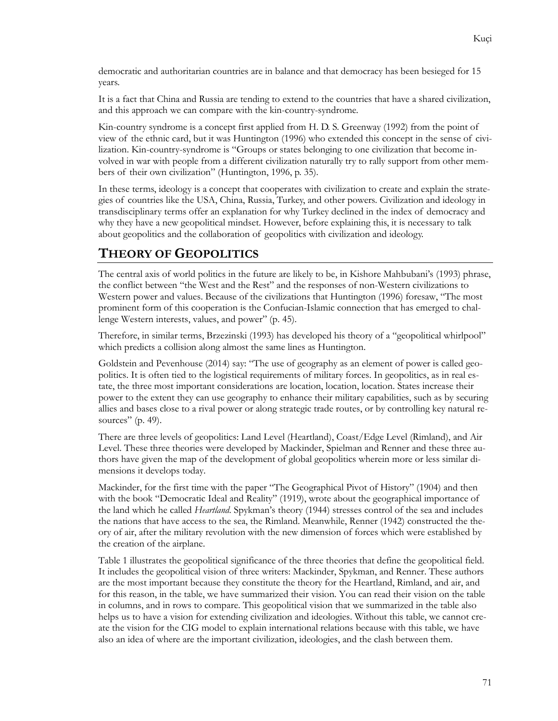democratic and authoritarian countries are in balance and that democracy has been besieged for 15 years.

It is a fact that China and Russia are tending to extend to the countries that have a shared civilization, and this approach we can compare with the kin-country-syndrome.

Kin-country syndrome is a concept first applied from H. D. S. Greenway (1992) from the point of view of the ethnic card, but it was Huntington (1996) who extended this concept in the sense of civilization. Kin-country-syndrome is "Groups or states belonging to one civilization that become involved in war with people from a different civilization naturally try to rally support from other members of their own civilization" (Huntington, 1996, p. 35).

In these terms, ideology is a concept that cooperates with civilization to create and explain the strategies of countries like the USA, China, Russia, Turkey, and other powers. Civilization and ideology in transdisciplinary terms offer an explanation for why Turkey declined in the index of democracy and why they have a new geopolitical mindset. However, before explaining this, it is necessary to talk about geopolitics and the collaboration of geopolitics with civilization and ideology.

### **THEORY OF GEOPOLITICS**

The central axis of world politics in the future are likely to be, in Kishore Mahbubani's (1993) phrase, the conflict between "the West and the Rest" and the responses of non-Western civilizations to Western power and values. Because of the civilizations that Huntington (1996) foresaw, "The most prominent form of this cooperation is the Confucian-Islamic connection that has emerged to challenge Western interests, values, and power" (p. 45).

Therefore, in similar terms, Brzezinski (1993) has developed his theory of a "geopolitical whirlpool" which predicts a collision along almost the same lines as Huntington.

Goldstein and Pevenhouse (2014) say: "The use of geography as an element of power is called geopolitics. It is often tied to the logistical requirements of military forces. In geopolitics, as in real estate, the three most important considerations are location, location, location. States increase their power to the extent they can use geography to enhance their military capabilities, such as by securing allies and bases close to a rival power or along strategic trade routes, or by controlling key natural resources" (p. 49).

There are three levels of geopolitics: Land Level (Heartland), Coast/Edge Level (Rimland), and Air Level. These three theories were developed by Mackinder, Spielman and Renner and these three authors have given the map of the development of global geopolitics wherein more or less similar dimensions it develops today.

Mackinder, for the first time with the paper "The Geographical Pivot of History" (1904) and then with the book "Democratic Ideal and Reality" (1919), wrote about the geographical importance of the land which he called *Heartland*. Spykman's theory (1944) stresses control of the sea and includes the nations that have access to the sea, the Rimland. Meanwhile, Renner (1942) constructed the theory of air, after the military revolution with the new dimension of forces which were established by the creation of the airplane.

Table 1 illustrates the geopolitical significance of the three theories that define the geopolitical field. It includes the geopolitical vision of three writers: Mackinder, Spykman, and Renner. These authors are the most important because they constitute the theory for the Heartland, Rimland, and air, and for this reason, in the table, we have summarized their vision. You can read their vision on the table in columns, and in rows to compare. This geopolitical vision that we summarized in the table also helps us to have a vision for extending civilization and ideologies. Without this table, we cannot create the vision for the CIG model to explain international relations because with this table, we have also an idea of where are the important civilization, ideologies, and the clash between them.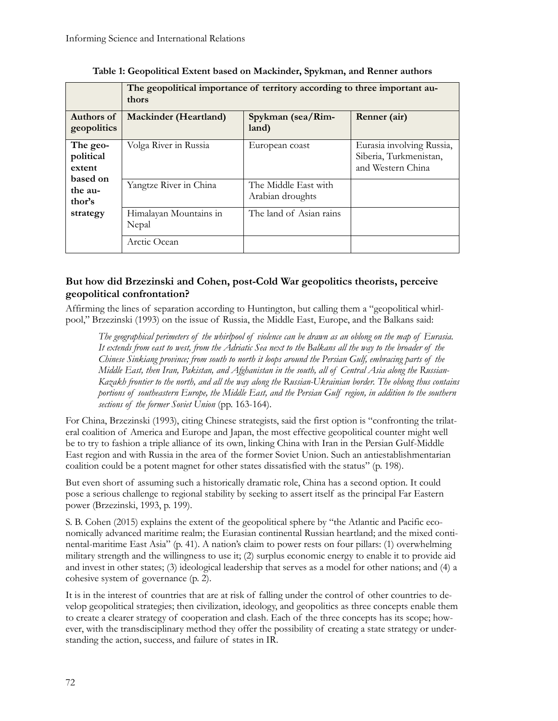|                                                                              | The geopolitical importance of territory according to three important au-<br>thors |                                          |                                                                          |
|------------------------------------------------------------------------------|------------------------------------------------------------------------------------|------------------------------------------|--------------------------------------------------------------------------|
| Authors of<br>geopolitics                                                    | <b>Mackinder</b> (Heartland)                                                       | Spykman (sea/Rim-<br>land)               | Renner (air)                                                             |
| The geo-<br>political<br>extent<br>based on<br>the au-<br>thor's<br>strategy | Volga River in Russia                                                              | European coast                           | Eurasia involving Russia,<br>Siberia, Turkmenistan,<br>and Western China |
|                                                                              | Yangtze River in China                                                             | The Middle East with<br>Arabian droughts |                                                                          |
|                                                                              | Himalayan Mountains in<br>Nepal                                                    | The land of Asian rains                  |                                                                          |
|                                                                              | Arctic Ocean                                                                       |                                          |                                                                          |

**Table 1: Geopolitical Extent based on Mackinder, Spykman, and Renner authors**

#### **But how did Brzezinski and Cohen, post-Cold War geopolitics theorists, perceive geopolitical confrontation?**

Affirming the lines of separation according to Huntington, but calling them a "geopolitical whirlpool," Brzezinski (1993) on the issue of Russia, the Middle East, Europe, and the Balkans said:

*The geographical perimeters of the whirlpool of violence can be drawn as an oblong on the map of Eurasia. It extends from east to west, from the Adriatic Sea next to the Balkans all the way to the broader of the Chinese Sinkiang province; from south to north it loops around the Persian Gulf, embracing parts of the Middle East, then Iran, Pakistan, and Afghanistan in the south, all of Central Asia along the Russian-Kazakh frontier to the north, and all the way along the Russian-Ukrainian border. The oblong thus contains portions of southeastern Europe, the Middle East, and the Persian Gulf region, in addition to the southern sections of the former Soviet Union* (pp. 163-164).

For China, Brzezinski (1993), citing Chinese strategists, said the first option is "confronting the trilateral coalition of America and Europe and Japan, the most effective geopolitical counter might well be to try to fashion a triple alliance of its own, linking China with Iran in the Persian Gulf-Middle East region and with Russia in the area of the former Soviet Union. Such an antiestablishmentarian coalition could be a potent magnet for other states dissatisfied with the status" (p. 198).

But even short of assuming such a historically dramatic role, China has a second option. It could pose a serious challenge to regional stability by seeking to assert itself as the principal Far Eastern power (Brzezinski, 1993, p. 199).

S. B. Cohen (2015) explains the extent of the geopolitical sphere by "the Atlantic and Pacific economically advanced maritime realm; the Eurasian continental Russian heartland; and the mixed continental-maritime East Asia" (p. 41). A nation's claim to power rests on four pillars: (1) overwhelming military strength and the willingness to use it; (2) surplus economic energy to enable it to provide aid and invest in other states; (3) ideological leadership that serves as a model for other nations; and (4) a cohesive system of governance (p. 2).

It is in the interest of countries that are at risk of falling under the control of other countries to develop geopolitical strategies; then civilization, ideology, and geopolitics as three concepts enable them to create a clearer strategy of cooperation and clash. Each of the three concepts has its scope; however, with the transdisciplinary method they offer the possibility of creating a state strategy or understanding the action, success, and failure of states in IR.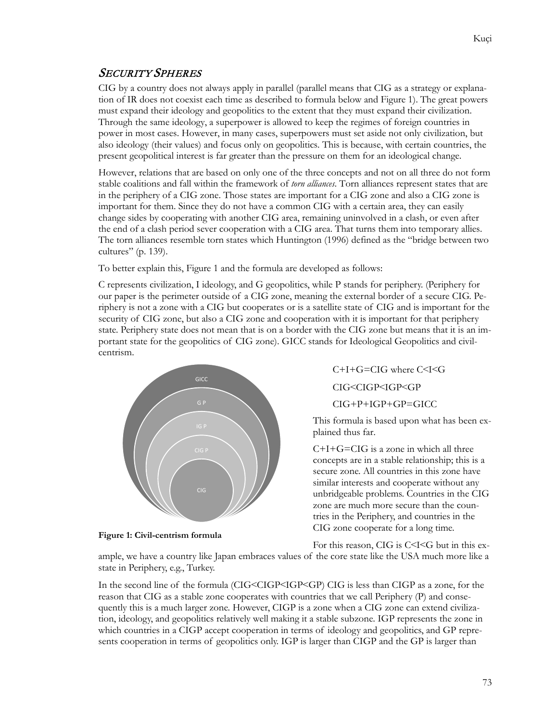### SECURITY SPHERES

CIG by a country does not always apply in parallel (parallel means that CIG as a strategy or explanation of IR does not coexist each time as described to formula below and Figure 1). The great powers must expand their ideology and geopolitics to the extent that they must expand their civilization. Through the same ideology, a superpower is allowed to keep the regimes of foreign countries in power in most cases. However, in many cases, superpowers must set aside not only civilization, but also ideology (their values) and focus only on geopolitics. This is because, with certain countries, the present geopolitical interest is far greater than the pressure on them for an ideological change.

However, relations that are based on only one of the three concepts and not on all three do not form stable coalitions and fall within the framework of *torn alliances*. Torn alliances represent states that are in the periphery of a CIG zone. Those states are important for a CIG zone and also a CIG zone is important for them. Since they do not have a common CIG with a certain area, they can easily change sides by cooperating with another CIG area, remaining uninvolved in a clash, or even after the end of a clash period sever cooperation with a CIG area. That turns them into temporary allies. The torn alliances resemble torn states which Huntington (1996) defined as the "bridge between two cultures" (p. 139).

To better explain this, Figure 1 and the formula are developed as follows:

C represents civilization, I ideology, and G geopolitics, while P stands for periphery. (Periphery for our paper is the perimeter outside of a CIG zone, meaning the external border of a secure CIG. Periphery is not a zone with a CIG but cooperates or is a satellite state of CIG and is important for the security of CIG zone, but also a CIG zone and cooperation with it is important for that periphery state. Periphery state does not mean that is on a border with the CIG zone but means that it is an important state for the geopolitics of CIG zone). GICC stands for Ideological Geopolitics and civilcentrism.



**Figure 1: Civil-centrism formula**

C+I+G=CIG where C˂I˂G CIG˂CIGP˂IGP˂GP

CIG+P+IGP+GP=GICC

This formula is based upon what has been explained thus far.

 $C+I+G=CIG$  is a zone in which all three concepts are in a stable relationship; this is a secure zone. All countries in this zone have similar interests and cooperate without any unbridgeable problems. Countries in the CIG zone are much more secure than the countries in the Periphery, and countries in the CIG zone cooperate for a long time.

For this reason, CIG is C˂I˂G but in this ex-

ample, we have a country like Japan embraces values of the core state like the USA much more like a state in Periphery, e.g., Turkey.

In the second line of the formula (CIG˂CIGP˂IGP˂GP) CIG is less than CIGP as a zone, for the reason that CIG as a stable zone cooperates with countries that we call Periphery (P) and consequently this is a much larger zone. However, CIGP is a zone when a CIG zone can extend civilization, ideology, and geopolitics relatively well making it a stable subzone. IGP represents the zone in which countries in a CIGP accept cooperation in terms of ideology and geopolitics, and GP represents cooperation in terms of geopolitics only. IGP is larger than CIGP and the GP is larger than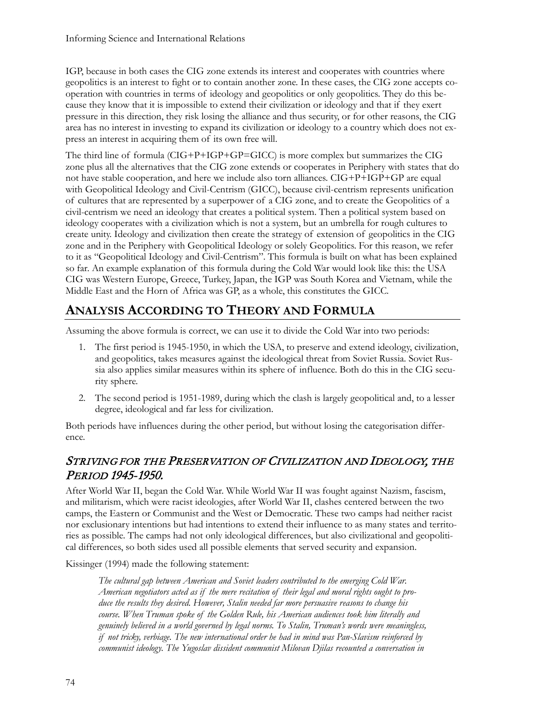IGP, because in both cases the CIG zone extends its interest and cooperates with countries where geopolitics is an interest to fight or to contain another zone. In these cases, the CIG zone accepts cooperation with countries in terms of ideology and geopolitics or only geopolitics. They do this because they know that it is impossible to extend their civilization or ideology and that if they exert pressure in this direction, they risk losing the alliance and thus security, or for other reasons, the CIG area has no interest in investing to expand its civilization or ideology to a country which does not express an interest in acquiring them of its own free will.

The third line of formula (CIG+P+IGP+GP=GICC) is more complex but summarizes the CIG zone plus all the alternatives that the CIG zone extends or cooperates in Periphery with states that do not have stable cooperation, and here we include also torn alliances. CIG+P+IGP+GP are equal with Geopolitical Ideology and Civil-Centrism (GICC), because civil-centrism represents unification of cultures that are represented by a superpower of a CIG zone, and to create the Geopolitics of a civil-centrism we need an ideology that creates a political system. Then a political system based on ideology cooperates with a civilization which is not a system, but an umbrella for rough cultures to create unity. Ideology and civilization then create the strategy of extension of geopolitics in the CIG zone and in the Periphery with Geopolitical Ideology or solely Geopolitics. For this reason, we refer to it as "Geopolitical Ideology and Civil-Centrism". This formula is built on what has been explained so far. An example explanation of this formula during the Cold War would look like this: the USA CIG was Western Europe, Greece, Turkey, Japan, the IGP was South Korea and Vietnam, while the Middle East and the Horn of Africa was GP, as a whole, this constitutes the GICC.

# **ANALYSIS ACCORDING TO THEORY AND FORMULA**

Assuming the above formula is correct, we can use it to divide the Cold War into two periods:

- 1. The first period is 1945-1950, in which the USA, to preserve and extend ideology, civilization, and geopolitics, takes measures against the ideological threat from Soviet Russia. Soviet Russia also applies similar measures within its sphere of influence. Both do this in the CIG security sphere.
- 2. The second period is 1951-1989, during which the clash is largely geopolitical and, to a lesser degree, ideological and far less for civilization.

Both periods have influences during the other period, but without losing the categorisation difference.

### STRIVING FOR THE PRESERVATION OF CIVILIZATION AND IDEOLOGY, THE PERIOD 1945-1950.

After World War II, began the Cold War. While World War II was fought against Nazism, fascism, and militarism, which were racist ideologies, after World War II, clashes centered between the two camps, the Eastern or Communist and the West or Democratic. These two camps had neither racist nor exclusionary intentions but had intentions to extend their influence to as many states and territories as possible. The camps had not only ideological differences, but also civilizational and geopolitical differences, so both sides used all possible elements that served security and expansion.

Kissinger (1994) made the following statement:

*The cultural gap between American and Soviet leaders contributed to the emerging Cold War. American negotiators acted as if the mere recitation of their legal and moral rights ought to produce the results they desired. However, Stalin needed far more persuasive reasons to change his course. When Truman spoke of the Golden Rule, his American audiences took him literally and genuinely believed in a world governed by legal norms. To Stalin, Truman's words were meaningless, if not tricky, verbiage. The new international order he had in mind was Pan-Slavism reinforced by communist ideology. The Yugoslav dissident communist Milovan Djilas recounted a conversation in*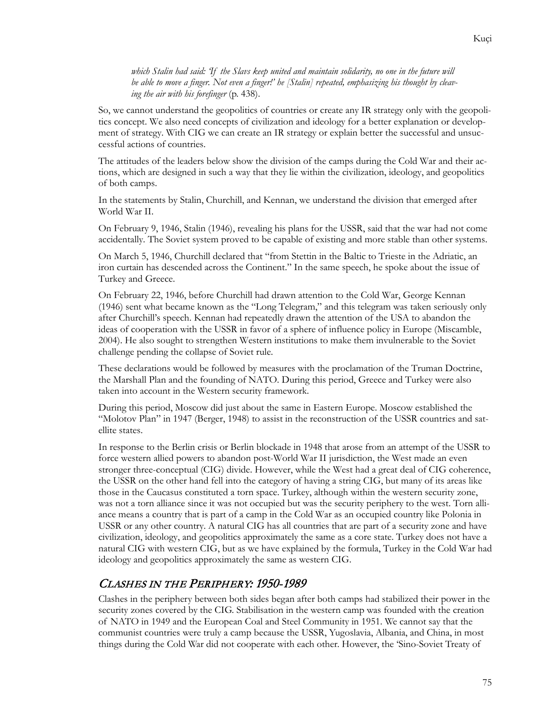*which Stalin had said: 'If the Slavs keep united and maintain solidarity, no one in the future will be able to move a finger. Not even a finger!' he [Stalin] repeated, emphasizing his thought by cleaving the air with his forefinger* (p. 438).

So, we cannot understand the geopolitics of countries or create any IR strategy only with the geopolitics concept. We also need concepts of civilization and ideology for a better explanation or development of strategy. With CIG we can create an IR strategy or explain better the successful and unsuccessful actions of countries.

The attitudes of the leaders below show the division of the camps during the Cold War and their actions, which are designed in such a way that they lie within the civilization, ideology, and geopolitics of both camps.

In the statements by Stalin, Churchill, and Kennan, we understand the division that emerged after World War II.

On February 9, 1946, Stalin (1946), revealing his plans for the USSR, said that the war had not come accidentally. The Soviet system proved to be capable of existing and more stable than other systems.

On March 5, 1946, Churchill declared that "from Stettin in the Baltic to Trieste in the Adriatic, an iron curtain has descended across the Continent." In the same speech, he spoke about the issue of Turkey and Greece.

On February 22, 1946, before Churchill had drawn attention to the Cold War, George Kennan (1946) sent what became known as the "Long Telegram," and this telegram was taken seriously only after Churchill's speech. Kennan had repeatedly drawn the attention of the USA to abandon the ideas of cooperation with the USSR in favor of a sphere of influence policy in Europe (Miscamble, 2004). He also sought to strengthen Western institutions to make them invulnerable to the Soviet challenge pending the collapse of Soviet rule.

These declarations would be followed by measures with the proclamation of the Truman Doctrine, the Marshall Plan and the founding of NATO. During this period, Greece and Turkey were also taken into account in the Western security framework.

During this period, Moscow did just about the same in Eastern Europe. Moscow established the "Molotov Plan" in 1947 (Berger, 1948) to assist in the reconstruction of the USSR countries and satellite states.

In response to the Berlin crisis or Berlin blockade in 1948 that arose from an attempt of the USSR to force western allied powers to abandon post-World War II jurisdiction, the West made an even stronger three-conceptual (CIG) divide. However, while the West had a great deal of CIG coherence, the USSR on the other hand fell into the category of having a string CIG, but many of its areas like those in the Caucasus constituted a torn space. Turkey, although within the western security zone, was not a torn alliance since it was not occupied but was the security periphery to the west. Torn alliance means a country that is part of a camp in the Cold War as an occupied country like Polonia in USSR or any other country. A natural CIG has all countries that are part of a security zone and have civilization, ideology, and geopolitics approximately the same as a core state. Turkey does not have a natural CIG with western CIG, but as we have explained by the formula, Turkey in the Cold War had ideology and geopolitics approximately the same as western CIG.

#### CLASHES IN THE PERIPHERY: 1950-1989

Clashes in the periphery between both sides began after both camps had stabilized their power in the security zones covered by the CIG. Stabilisation in the western camp was founded with the creation of NATO in 1949 and the European Coal and Steel Community in 1951. We cannot say that the communist countries were truly a camp because the USSR, Yugoslavia, Albania, and China, in most things during the Cold War did not cooperate with each other. However, the 'Sino-Soviet Treaty of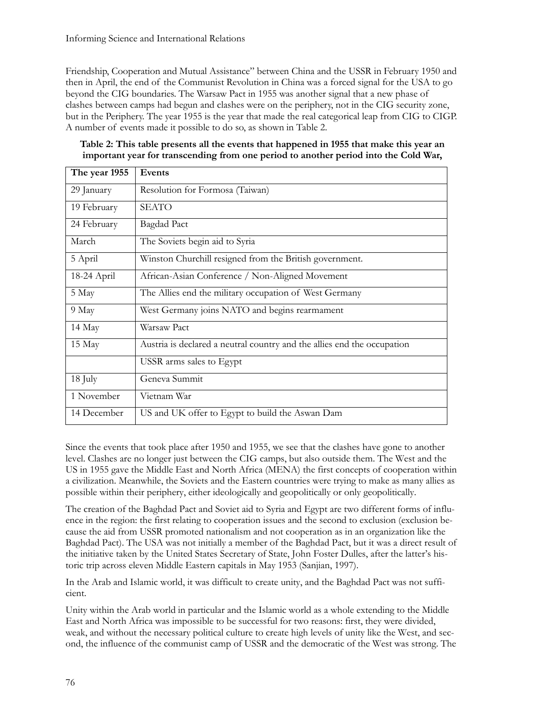Friendship, Cooperation and Mutual Assistance" between China and the USSR in February 1950 and then in April, the end of the Communist Revolution in China was a forced signal for the USA to go beyond the CIG boundaries. The Warsaw Pact in 1955 was another signal that a new phase of clashes between camps had begun and clashes were on the periphery, not in the CIG security zone, but in the Periphery. The year 1955 is the year that made the real categorical leap from CIG to CIGP. A number of events made it possible to do so, as shown in Table 2.

| Table 2: This table presents all the events that happened in 1955 that make this year an |
|------------------------------------------------------------------------------------------|
| important year for transcending from one period to another period into the Cold War,     |

| The year 1955 | Events                                                                  |  |
|---------------|-------------------------------------------------------------------------|--|
| 29 January    | Resolution for Formosa (Taiwan)                                         |  |
| 19 February   | <b>SEATO</b>                                                            |  |
| 24 February   | <b>Bagdad Pact</b>                                                      |  |
| March         | The Soviets begin aid to Syria                                          |  |
| 5 April       | Winston Churchill resigned from the British government.                 |  |
| 18-24 April   | African-Asian Conference / Non-Aligned Movement                         |  |
| 5 May         | The Allies end the military occupation of West Germany                  |  |
| 9 May         | West Germany joins NATO and begins rearmament                           |  |
| 14 May        | Warsaw Pact                                                             |  |
| 15 May        | Austria is declared a neutral country and the allies end the occupation |  |
|               | USSR arms sales to Egypt                                                |  |
| 18 July       | Geneva Summit                                                           |  |
| 1 November    | Vietnam War                                                             |  |
| 14 December   | US and UK offer to Egypt to build the Aswan Dam                         |  |

Since the events that took place after 1950 and 1955, we see that the clashes have gone to another level. Clashes are no longer just between the CIG camps, but also outside them. The West and the US in 1955 gave the Middle East and North Africa (MENA) the first concepts of cooperation within a civilization. Meanwhile, the Soviets and the Eastern countries were trying to make as many allies as possible within their periphery, either ideologically and geopolitically or only geopolitically.

The creation of the Baghdad Pact and Soviet aid to Syria and Egypt are two different forms of influence in the region: the first relating to cooperation issues and the second to exclusion (exclusion because the aid from USSR promoted nationalism and not cooperation as in an organization like the Baghdad Pact). The USA was not initially a member of the Baghdad Pact, but it was a direct result of the initiative taken by the United States Secretary of State, John Foster Dulles, after the latter's historic trip across eleven Middle Eastern capitals in May 1953 (Sanjian, 1997).

In the Arab and Islamic world, it was difficult to create unity, and the Baghdad Pact was not sufficient.

Unity within the Arab world in particular and the Islamic world as a whole extending to the Middle East and North Africa was impossible to be successful for two reasons: first, they were divided, weak, and without the necessary political culture to create high levels of unity like the West, and second, the influence of the communist camp of USSR and the democratic of the West was strong. The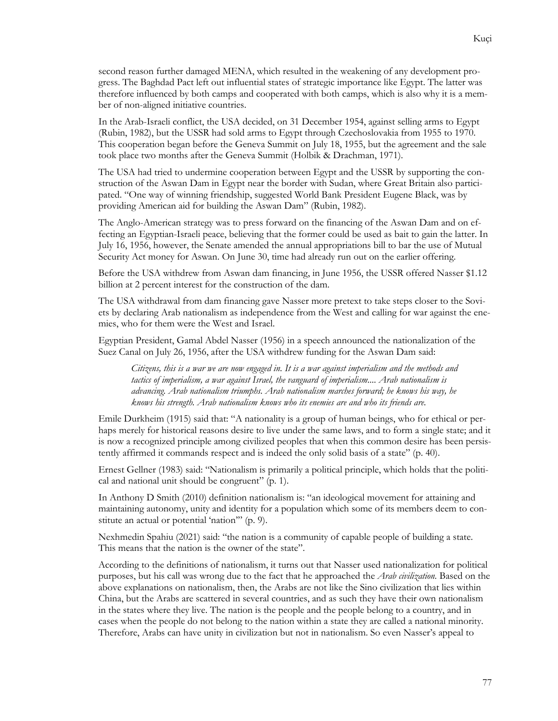second reason further damaged MENA, which resulted in the weakening of any development progress. The Baghdad Pact left out influential states of strategic importance like Egypt. The latter was therefore influenced by both camps and cooperated with both camps, which is also why it is a member of non-aligned initiative countries.

In the Arab-Israeli conflict, the USA decided, on 31 December 1954, against selling arms to Egypt (Rubin, 1982), but the USSR had sold arms to Egypt through Czechoslovakia from 1955 to 1970. This cooperation began before the Geneva Summit on July 18, 1955, but the agreement and the sale took place two months after the Geneva Summit (Holbik & Drachman, 1971).

The USA had tried to undermine cooperation between Egypt and the USSR by supporting the construction of the Aswan Dam in Egypt near the border with Sudan, where Great Britain also participated. "One way of winning friendship, suggested World Bank President Eugene Black, was by providing American aid for building the Aswan Dam" (Rubin, 1982).

The Anglo-American strategy was to press forward on the financing of the Aswan Dam and on effecting an Egyptian-Israeli peace, believing that the former could be used as bait to gain the latter. In July 16, 1956, however, the Senate amended the annual appropriations bill to bar the use of Mutual Security Act money for Aswan. On June 30, time had already run out on the earlier offering.

Before the USA withdrew from Aswan dam financing, in June 1956, the USSR offered Nasser \$1.12 billion at 2 percent interest for the construction of the dam.

The USA withdrawal from dam financing gave Nasser more pretext to take steps closer to the Soviets by declaring Arab nationalism as independence from the West and calling for war against the enemies, who for them were the West and Israel.

Egyptian President, Gamal Abdel Nasser (1956) in a speech announced the nationalization of the Suez Canal on July 26, 1956, after the USA withdrew funding for the Aswan Dam said:

*Citizens, this is a war we are now engaged in. It is a war against imperialism and the methods and tactics of imperialism, a war against Israel, the vanguard of imperialism.... Arab nationalism is advancing. Arab nationalism triumphs. Arab nationalism marches forward; he knows his way, he knows his strength. Arab nationalism knows who its enemies are and who its friends are.*

Emile Durkheim (1915) said that: "A nationality is a group of human beings, who for ethical or perhaps merely for historical reasons desire to live under the same laws, and to form a single state; and it is now a recognized principle among civilized peoples that when this common desire has been persistently affirmed it commands respect and is indeed the only solid basis of a state" (p. 40).

Ernest Gellner (1983) said: "Nationalism is primarily a political principle, which holds that the political and national unit should be congruent" (p. 1).

In Anthony D Smith (2010) definition nationalism is: "an ideological movement for attaining and maintaining autonomy, unity and identity for a population which some of its members deem to constitute an actual or potential 'nation'" (p. 9).

Nexhmedin Spahiu (2021) said: "the nation is a community of capable people of building a state. This means that the nation is the owner of the state".

According to the definitions of nationalism, it turns out that Nasser used nationalization for political purposes, but his call was wrong due to the fact that he approached the *Arab civilization.* Based on the above explanations on nationalism, then, the Arabs are not like the Sino civilization that lies within China, but the Arabs are scattered in several countries, and as such they have their own nationalism in the states where they live. The nation is the people and the people belong to a country, and in cases when the people do not belong to the nation within a state they are called a national minority. Therefore, Arabs can have unity in civilization but not in nationalism. So even Nasser's appeal to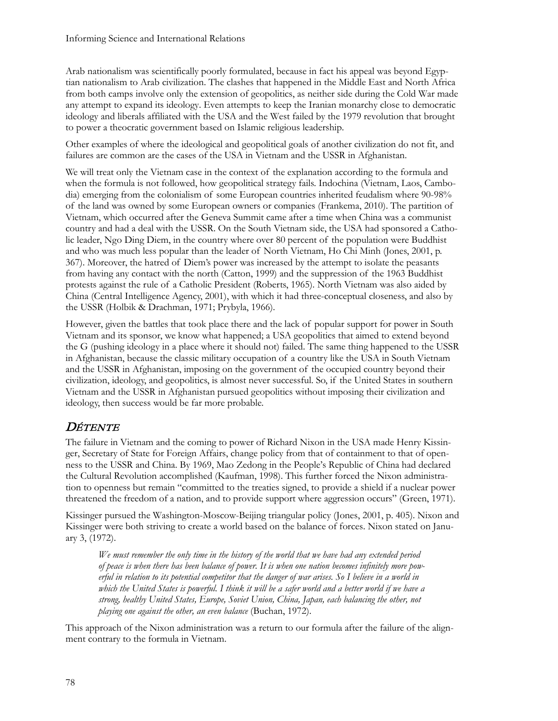Arab nationalism was scientifically poorly formulated, because in fact his appeal was beyond Egyptian nationalism to Arab civilization. The clashes that happened in the Middle East and North Africa from both camps involve only the extension of geopolitics, as neither side during the Cold War made any attempt to expand its ideology. Even attempts to keep the Iranian monarchy close to democratic ideology and liberals affiliated with the USA and the West failed by the 1979 revolution that brought to power a theocratic government based on Islamic religious leadership.

Other examples of where the ideological and geopolitical goals of another civilization do not fit, and failures are common are the cases of the USA in Vietnam and the USSR in Afghanistan.

We will treat only the Vietnam case in the context of the explanation according to the formula and when the formula is not followed, how geopolitical strategy fails. Indochina (Vietnam, Laos, Cambodia) emerging from the colonialism of some European countries inherited feudalism where 90-98% of the land was owned by some European owners or companies (Frankema, 2010). The partition of Vietnam, which occurred after the Geneva Summit came after a time when China was a communist country and had a deal with the USSR. On the South Vietnam side, the USA had sponsored a Catholic leader, Ngo Ding Diem, in the country where over 80 percent of the population were Buddhist and who was much less popular than the leader of North Vietnam, Ho Chi Minh (Jones, 2001, p. 367). Moreover, the hatred of Diem's power was increased by the attempt to isolate the peasants from having any contact with the north (Catton, 1999) and the suppression of the 1963 Buddhist protests against the rule of a Catholic President (Roberts, 1965). North Vietnam was also aided by China (Central Intelligence Agency, 2001), with which it had three-conceptual closeness, and also by the USSR (Holbik & Drachman, 1971; Prybyla, 1966).

However, given the battles that took place there and the lack of popular support for power in South Vietnam and its sponsor, we know what happened; a USA geopolitics that aimed to extend beyond the G (pushing ideology in a place where it should not) failed. The same thing happened to the USSR in Afghanistan, because the classic military occupation of a country like the USA in South Vietnam and the USSR in Afghanistan, imposing on the government of the occupied country beyond their civilization, ideology, and geopolitics, is almost never successful. So, if the United States in southern Vietnam and the USSR in Afghanistan pursued geopolitics without imposing their civilization and ideology, then success would be far more probable.

### **DÉTENTE**

The failure in Vietnam and the coming to power of Richard Nixon in the USA made Henry Kissinger, Secretary of State for Foreign Affairs, change policy from that of containment to that of openness to the USSR and China. By 1969, Mao Zedong in the People's Republic of China had declared the Cultural Revolution accomplished (Kaufman, 1998). This further forced the Nixon administration to openness but remain "committed to the treaties signed, to provide a shield if a nuclear power threatened the freedom of a nation, and to provide support where aggression occurs" (Green, 1971).

Kissinger pursued the Washington-Moscow-Beijing triangular policy (Jones, 2001, p. 405). Nixon and Kissinger were both striving to create a world based on the balance of forces. Nixon stated on January 3, (1972).

*We must remember the only time in the history of the world that we have had any extended period of peace is when there has been balance of power. It is when one nation becomes infinitely more powerful in relation to its potential competitor that the danger of war arises. So I believe in a world in which the United States is powerful. I think it will be a safer world and a better world if we have a strong, healthy United States, Europe, Soviet Union, China, Japan, each balancing the other, not playing one against the other, an even balance* (Buchan, 1972).

This approach of the Nixon administration was a return to our formula after the failure of the alignment contrary to the formula in Vietnam.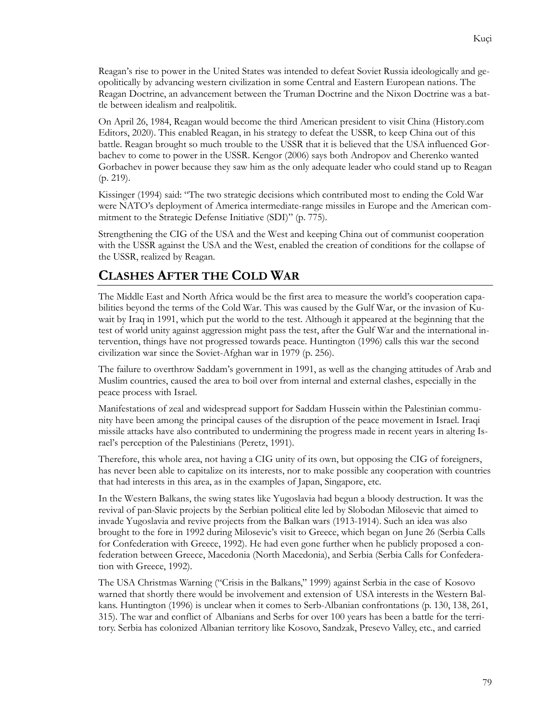Reagan's rise to power in the United States was intended to defeat Soviet Russia ideologically and geopolitically by advancing western civilization in some Central and Eastern European nations. The Reagan Doctrine, an advancement between the Truman Doctrine and the Nixon Doctrine was a battle between idealism and realpolitik.

On April 26, 1984, Reagan would become the third American president to visit China (History.com Editors, 2020). This enabled Reagan, in his strategy to defeat the USSR, to keep China out of this battle. Reagan brought so much trouble to the USSR that it is believed that the USA influenced Gorbachev to come to power in the USSR. Kengor (2006) says both Andropov and Cherenko wanted Gorbachev in power because they saw him as the only adequate leader who could stand up to Reagan (p. 219).

Kissinger (1994) said: "The two strategic decisions which contributed most to ending the Cold War were NATO's deployment of America intermediate-range missiles in Europe and the American commitment to the Strategic Defense Initiative (SDI)" (p. 775).

Strengthening the CIG of the USA and the West and keeping China out of communist cooperation with the USSR against the USA and the West, enabled the creation of conditions for the collapse of the USSR, realized by Reagan.

#### **CLASHES AFTER THE COLD WAR**

The Middle East and North Africa would be the first area to measure the world's cooperation capabilities beyond the terms of the Cold War. This was caused by the Gulf War, or the invasion of Kuwait by Iraq in 1991, which put the world to the test. Although it appeared at the beginning that the test of world unity against aggression might pass the test, after the Gulf War and the international intervention, things have not progressed towards peace. Huntington (1996) calls this war the second civilization war since the Soviet-Afghan war in 1979 (p. 256).

The failure to overthrow Saddam's government in 1991, as well as the changing attitudes of Arab and Muslim countries, caused the area to boil over from internal and external clashes, especially in the peace process with Israel.

Manifestations of zeal and widespread support for Saddam Hussein within the Palestinian community have been among the principal causes of the disruption of the peace movement in Israel. Iraqi missile attacks have also contributed to undermining the progress made in recent years in altering Israel's perception of the Palestinians (Peretz, 1991).

Therefore, this whole area, not having a CIG unity of its own, but opposing the CIG of foreigners, has never been able to capitalize on its interests, nor to make possible any cooperation with countries that had interests in this area, as in the examples of Japan, Singapore, etc.

In the Western Balkans, the swing states like Yugoslavia had begun a bloody destruction. It was the revival of pan-Slavic projects by the Serbian political elite led by Slobodan Milosevic that aimed to invade Yugoslavia and revive projects from the Balkan wars (1913-1914). Such an idea was also brought to the fore in 1992 during Milosevic's visit to Greece, which began on June 26 (Serbia Calls for Confederation with Greece, 1992). He had even gone further when he publicly proposed a confederation between Greece, Macedonia (North Macedonia), and Serbia (Serbia Calls for Confederation with Greece, 1992).

The USA Christmas Warning ("Crisis in the Balkans," 1999) against Serbia in the case of Kosovo warned that shortly there would be involvement and extension of USA interests in the Western Balkans. Huntington (1996) is unclear when it comes to Serb-Albanian confrontations (p. 130, 138, 261, 315). The war and conflict of Albanians and Serbs for over 100 years has been a battle for the territory. Serbia has colonized Albanian territory like Kosovo, Sandzak, Presevo Valley, etc., and carried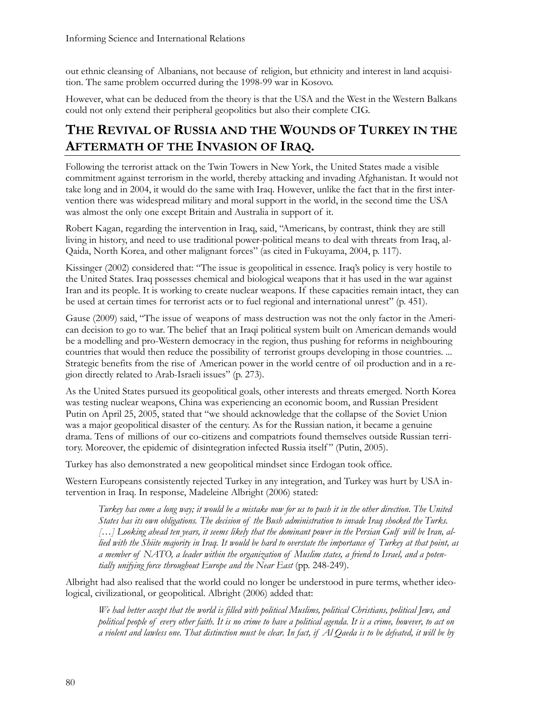out ethnic cleansing of Albanians, not because of religion, but ethnicity and interest in land acquisition. The same problem occurred during the 1998-99 war in Kosovo.

However, what can be deduced from the theory is that the USA and the West in the Western Balkans could not only extend their peripheral geopolitics but also their complete CIG.

## **THE REVIVAL OF RUSSIA AND THE WOUNDS OF TURKEY IN THE AFTERMATH OF THE INVASION OF IRAQ.**

Following the terrorist attack on the Twin Towers in New York, the United States made a visible commitment against terrorism in the world, thereby attacking and invading Afghanistan. It would not take long and in 2004, it would do the same with Iraq. However, unlike the fact that in the first intervention there was widespread military and moral support in the world, in the second time the USA was almost the only one except Britain and Australia in support of it.

Robert Kagan, regarding the intervention in Iraq, said, "Americans, by contrast, think they are still living in history, and need to use traditional power-political means to deal with threats from Iraq, al-Qaida, North Korea, and other malignant forces" (as cited in Fukuyama, 2004, p. 117).

Kissinger (2002) considered that: "The issue is geopolitical in essence. Iraq's policy is very hostile to the United States. Iraq possesses chemical and biological weapons that it has used in the war against Iran and its people. It is working to create nuclear weapons. If these capacities remain intact, they can be used at certain times for terrorist acts or to fuel regional and international unrest" (p. 451).

Gause (2009) said, "The issue of weapons of mass destruction was not the only factor in the American decision to go to war. The belief that an Iraqi political system built on American demands would be a modelling and pro-Western democracy in the region, thus pushing for reforms in neighbouring countries that would then reduce the possibility of terrorist groups developing in those countries. ... Strategic benefits from the rise of American power in the world centre of oil production and in a region directly related to Arab-Israeli issues" (p. 273).

As the United States pursued its geopolitical goals, other interests and threats emerged. North Korea was testing nuclear weapons, China was experiencing an economic boom, and Russian President Putin on April 25, 2005, stated that "we should acknowledge that the collapse of the Soviet Union was a major geopolitical disaster of the century. As for the Russian nation, it became a genuine drama. Tens of millions of our co-citizens and compatriots found themselves outside Russian territory. Moreover, the epidemic of disintegration infected Russia itself" (Putin, 2005).

Turkey has also demonstrated a new geopolitical mindset since Erdogan took office.

Western Europeans consistently rejected Turkey in any integration, and Turkey was hurt by USA intervention in Iraq. In response, Madeleine Albright (2006) stated:

*Turkey has come a long way; it would be a mistake now for us to push it in the other direction. The United States has its own obligations. The decision of the Bush administration to invade Iraq shocked the Turks. […] Looking ahead ten years, it seems likely that the dominant power in the Persian Gulf will be Iran, allied with the Shiite majority in Iraq. It would be hard to overstate the importance of Turkey at that point, as a member of NATO, a leader within the organization of Muslim states, a friend to Israel, and a potentially unifying force throughout Europe and the Near East* (pp. 248-249).

Albright had also realised that the world could no longer be understood in pure terms, whether ideological, civilizational, or geopolitical. Albright (2006) added that:

*We had better accept that the world is filled with political Muslims, political Christians, political Jews, and political people of every other faith. It is no crime to have a political agenda. It is a crime, however, to act on a violent and lawless one. That distinction must be clear. In fact, if Al Qaeda is to be defeated, it will be by*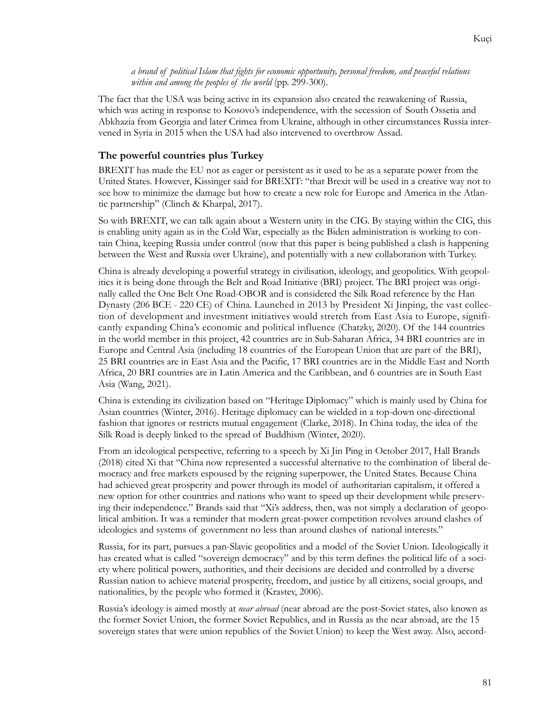*a brand of political Islam that fights for economic opportunity, personal freedom, and peaceful relations within and among the peoples of the world* (pp. 299-300).

The fact that the USA was being active in its expansion also created the reawakening of Russia, which was acting in response to Kosovo's independence, with the secession of South Ossetia and Abkhazia from Georgia and later Crimea from Ukraine, although in other circumstances Russia intervened in Syria in 2015 when the USA had also intervened to overthrow Assad.

#### **The powerful countries plus Turkey**

BREXIT has made the EU not as eager or persistent as it used to be as a separate power from the United States. However, Kissinger said for BREXIT: "that Brexit will be used in a creative way not to see how to minimize the damage but how to create a new role for Europe and America in the Atlantic partnership" (Clinch & Kharpal, 2017).

So with BREXIT, we can talk again about a Western unity in the CIG. By staying within the CIG, this is enabling unity again as in the Cold War, especially as the Biden administration is working to contain China, keeping Russia under control (now that this paper is being published a clash is happening between the West and Russia over Ukraine), and potentially with a new collaboration with Turkey.

China is already developing a powerful strategy in civilisation, ideology, and geopolitics. With geopolitics it is being done through the Belt and Road Initiative (BRI) project. The BRI project was originally called the One Belt One Road-OBOR and is considered the Silk Road reference by the Han Dynasty (206 BCE - 220 CE) of China. Launched in 2013 by President Xi Jinping, the vast collection of development and investment initiatives would stretch from East Asia to Europe, significantly expanding China's economic and political influence (Chatzky, 2020). Of the 144 countries in the world member in this project, 42 countries are in Sub-Saharan Africa, 34 BRI countries are in Europe and Central Asia (including 18 countries of the European Union that are part of the BRI), 25 BRI countries are in East Asia and the Pacific, 17 BRI countries are in the Middle East and North Africa, 20 BRI countries are in Latin America and the Caribbean, and 6 countries are in South East Asia (Wang, 2021).

China is extending its civilization based on "Heritage Diplomacy" which is mainly used by China for Asian countries (Winter, 2016). Heritage diplomacy can be wielded in a top-down one-directional fashion that ignores or restricts mutual engagement (Clarke, 2018). In China today, the idea of the Silk Road is deeply linked to the spread of Buddhism (Winter, 2020).

From an ideological perspective, referring to a speech by Xi Jin Ping in October 2017, Hall Brands (2018) cited Xi that "China now represented a successful alternative to the combination of liberal democracy and free markets espoused by the reigning superpower, the United States. Because China had achieved great prosperity and power through its model of authoritarian capitalism, it offered a new option for other countries and nations who want to speed up their development while preserving their independence." Brands said that "Xi's address, then, was not simply a declaration of geopolitical ambition. It was a reminder that modern great-power competition revolves around clashes of ideologies and systems of government no less than around clashes of national interests."

Russia, for its part, pursues a pan-Slavic geopolitics and a model of the Soviet Union. Ideologically it has created what is called "sovereign democracy" and by this term defines the political life of a society where political powers, authorities, and their decisions are decided and controlled by a diverse Russian nation to achieve material prosperity, freedom, and justice by all citizens, social groups, and nationalities, by the people who formed it (Krastev, 2006).

Russia's ideology is aimed mostly at *near abroad* (near abroad are the post-Soviet states, also known as the former Soviet Union, the former Soviet Republics, and in Russia as the near abroad, are the 15 sovereign states that were union republics of the Soviet Union) to keep the West away. Also, accord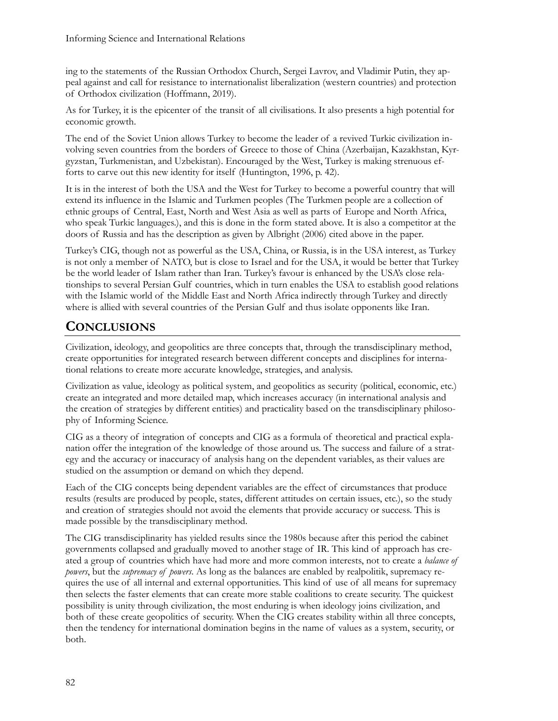ing to the statements of the Russian Orthodox Church, Sergei Lavrov, and Vladimir Putin, they appeal against and call for resistance to internationalist liberalization (western countries) and protection of Orthodox civilization (Hoffmann, 2019).

As for Turkey, it is the epicenter of the transit of all civilisations. It also presents a high potential for economic growth.

The end of the Soviet Union allows Turkey to become the leader of a revived Turkic civilization involving seven countries from the borders of Greece to those of China (Azerbaijan, Kazakhstan, Kyrgyzstan, Turkmenistan, and Uzbekistan). Encouraged by the West, Turkey is making strenuous efforts to carve out this new identity for itself (Huntington, 1996, p. 42).

It is in the interest of both the USA and the West for Turkey to become a powerful country that will extend its influence in the Islamic and Turkmen peoples (The Turkmen people are a collection of ethnic groups of Central, East, North and West Asia as well as parts of Europe and North Africa, who speak Turkic languages.), and this is done in the form stated above. It is also a competitor at the doors of Russia and has the description as given by Albright (2006) cited above in the paper.

Turkey's CIG, though not as powerful as the USA, China, or Russia, is in the USA interest, as Turkey is not only a member of NATO, but is close to Israel and for the USA, it would be better that Turkey be the world leader of Islam rather than Iran. Turkey's favour is enhanced by the USA's close relationships to several Persian Gulf countries, which in turn enables the USA to establish good relations with the Islamic world of the Middle East and North Africa indirectly through Turkey and directly where is allied with several countries of the Persian Gulf and thus isolate opponents like Iran.

## **CONCLUSIONS**

Civilization, ideology, and geopolitics are three concepts that, through the transdisciplinary method, create opportunities for integrated research between different concepts and disciplines for international relations to create more accurate knowledge, strategies, and analysis.

Civilization as value, ideology as political system, and geopolitics as security (political, economic, etc.) create an integrated and more detailed map, which increases accuracy (in international analysis and the creation of strategies by different entities) and practicality based on the transdisciplinary philosophy of Informing Science.

CIG as a theory of integration of concepts and CIG as a formula of theoretical and practical explanation offer the integration of the knowledge of those around us. The success and failure of a strategy and the accuracy or inaccuracy of analysis hang on the dependent variables, as their values are studied on the assumption or demand on which they depend.

Each of the CIG concepts being dependent variables are the effect of circumstances that produce results (results are produced by people, states, different attitudes on certain issues, etc.), so the study and creation of strategies should not avoid the elements that provide accuracy or success. This is made possible by the transdisciplinary method.

The CIG transdisciplinarity has yielded results since the 1980s because after this period the cabinet governments collapsed and gradually moved to another stage of IR. This kind of approach has created a group of countries which have had more and more common interests, not to create a *balance of powers*, but the *supremacy of powers*. As long as the balances are enabled by realpolitik, supremacy requires the use of all internal and external opportunities. This kind of use of all means for supremacy then selects the faster elements that can create more stable coalitions to create security. The quickest possibility is unity through civilization, the most enduring is when ideology joins civilization, and both of these create geopolitics of security. When the CIG creates stability within all three concepts, then the tendency for international domination begins in the name of values as a system, security, or both.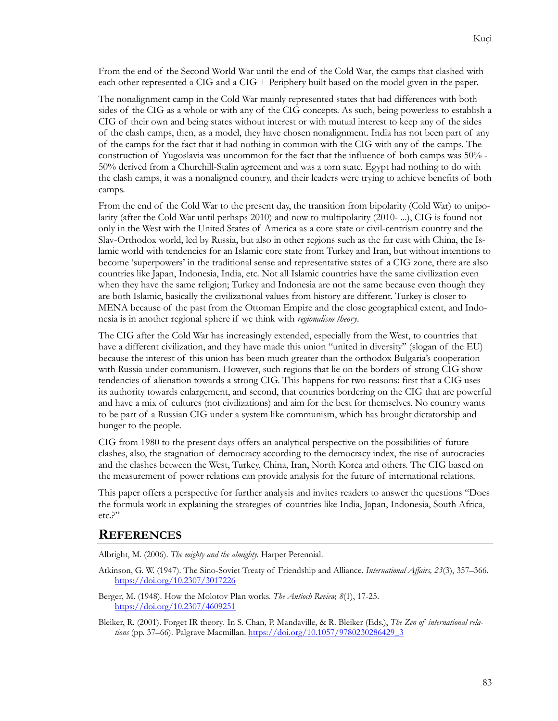From the end of the Second World War until the end of the Cold War, the camps that clashed with each other represented a CIG and a CIG + Periphery built based on the model given in the paper.

The nonalignment camp in the Cold War mainly represented states that had differences with both sides of the CIG as a whole or with any of the CIG concepts. As such, being powerless to establish a CIG of their own and being states without interest or with mutual interest to keep any of the sides of the clash camps, then, as a model, they have chosen nonalignment. India has not been part of any of the camps for the fact that it had nothing in common with the CIG with any of the camps. The construction of Yugoslavia was uncommon for the fact that the influence of both camps was 50% - 50% derived from a Churchill-Stalin agreement and was a torn state. Egypt had nothing to do with the clash camps, it was a nonaligned country, and their leaders were trying to achieve benefits of both camps.

From the end of the Cold War to the present day, the transition from bipolarity (Cold War) to unipolarity (after the Cold War until perhaps 2010) and now to multipolarity (2010- ...), CIG is found not only in the West with the United States of America as a core state or civil-centrism country and the Slav-Orthodox world, led by Russia, but also in other regions such as the far east with China, the Islamic world with tendencies for an Islamic core state from Turkey and Iran, but without intentions to become 'superpowers' in the traditional sense and representative states of a CIG zone, there are also countries like Japan, Indonesia, India, etc. Not all Islamic countries have the same civilization even when they have the same religion; Turkey and Indonesia are not the same because even though they are both Islamic, basically the civilizational values from history are different. Turkey is closer to MENA because of the past from the Ottoman Empire and the close geographical extent, and Indonesia is in another regional sphere if we think with *regionalism theory*.

The CIG after the Cold War has increasingly extended, especially from the West, to countries that have a different civilization, and they have made this union "united in diversity" (slogan of the EU) because the interest of this union has been much greater than the orthodox Bulgaria's cooperation with Russia under communism. However, such regions that lie on the borders of strong CIG show tendencies of alienation towards a strong CIG. This happens for two reasons: first that a CIG uses its authority towards enlargement, and second, that countries bordering on the CIG that are powerful and have a mix of cultures (not civilizations) and aim for the best for themselves. No country wants to be part of a Russian CIG under a system like communism, which has brought dictatorship and hunger to the people.

CIG from 1980 to the present days offers an analytical perspective on the possibilities of future clashes, also, the stagnation of democracy according to the democracy index, the rise of autocracies and the clashes between the West, Turkey, China, Iran, North Korea and others. The CIG based on the measurement of power relations can provide analysis for the future of international relations.

This paper offers a perspective for further analysis and invites readers to answer the questions "Does the formula work in explaining the strategies of countries like India, Japan, Indonesia, South Africa, etc.?"

#### **REFERENCES**

Albright, M. (2006). *The mighty and the almighty.* Harper Perennial.

- Atkinson, G. W. (1947). The Sino-Soviet Treaty of Friendship and Alliance*. International Affairs, 23*(3), 357–366. <https://doi.org/10.2307/3017226>
- Berger, M. (1948). How the Molotov Plan works. *The Antioch Review, 8*(1), 17-25. <https://doi.org/10.2307/4609251>

Bleiker, R. (2001). Forget IR theory*.* In S. Chan, P. Mandaville, & R. Bleiker (Eds.), *The Zen of international relations* (pp. 37–66). Palgrave Macmillan[. https://doi.org/10.1057/9780230286429\\_3](https://doi.org/10.1057/9780230286429_3)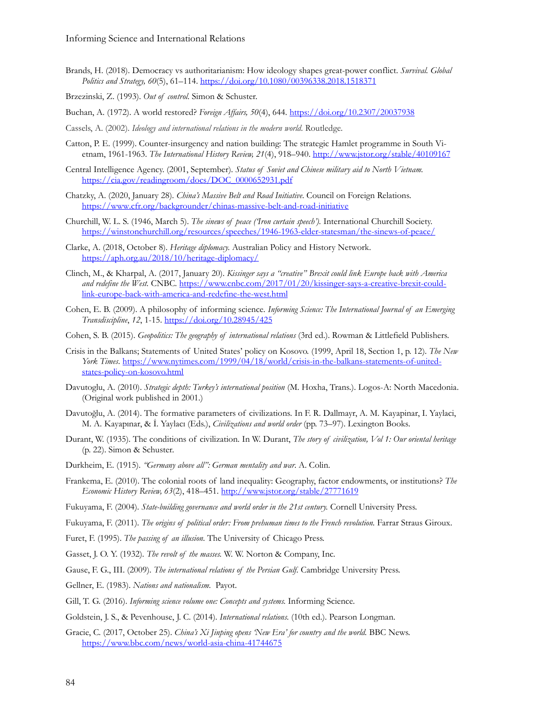Brands, H. (2018). Democracy vs authoritarianism: How ideology shapes great-power conflict. *Survival. Global Politics and Strategy, 60*(5), 61–114.<https://doi.org/10.1080/00396338.2018.1518371>

Brzezinski, Z. (1993). *Out of control.* Simon & Schuster.

Buchan, A. (1972). A world restored? *Foreign Affairs, 50*(4), 644.<https://doi.org/10.2307/20037938>

- Cassels, A. (2002). *Ideology and international relations in the modern world*. Routledge.
- Catton, P. E. (1999). Counter-insurgency and nation building: The strategic Hamlet programme in South Vietnam, 1961-1963. *The International History Review, 21*(4), 918–940.<http://www.jstor.org/stable/40109167>
- Central Intelligence Agency. (2001, September). *Status of Soviet and Chinese military aid to North Vietnam.* [https://cia.gov/readingroom/docs/DOC\\_0000652931.pdf](https://cia.gov/readingroom/docs/DOC_0000652931.pdf)
- Chatzky, A. (2020, January 28). *China's Massive Belt and Road Initiative*. Council on Foreign Relations. [https://www.cfr.org/backgrounder/chinas-massive-belt-](https://www.cfr.org/backgrounder/chinas-massive-belt-and-road-initiative)and-road-initiative
- Churchill, W. L. S. (1946, March 5). *The sinews of peace ('Iron curtain speech').* International Churchill Society. [https://winstonchurchill.org/resources/speeches/1946-1963-](https://winstonchurchill.org/resources/speeches/1946-1963-elder-statesman/the-sinews-of-peace/)elder-statesman/the-sinews-of-peace/
- Clarke, A. (2018, October 8). *Heritage diplomacy.* Australian Policy and History Network. <https://aph.org.au/2018/10/heritage-diplomacy/>
- Clinch, M., & Kharpal, A. (2017, January 20). *Kissinger says a "creative" Brexit could link Europe back with America and redefine the West.* CNBC[. https://www.cnbc.com/2017/01/20/kissinger-says-](https://www.cnbc.com/2017/01/20/kissinger-says-a-creative-brexit-could-link-europe-back-with-america-and-redefine-the-west.html)a-creative-brexit-could[link-europe-back-with-america-](https://www.cnbc.com/2017/01/20/kissinger-says-a-creative-brexit-could-link-europe-back-with-america-and-redefine-the-west.html)and-redefine-the-west.html
- Cohen, E. B. (2009). A philosophy of informing science*. Informing Science: The International Journal of an Emerging Transdiscipline*, *12*, 1-15.<https://doi.org/10.28945/425>
- Cohen, S. B. (2015). *Geopolitics: The geography of international relations* (3rd ed.). Rowman & Littlefield Publishers.
- Crisis in the Balkans; Statements of United States' policy on Kosovo. (1999, April 18, Section 1, p. 12). *The New York Times*. [https://www.nytimes.com/1999/04/18/world/crisis-](https://www.nytimes.com/1999/04/18/world/crisis-in-the-balkans-statements-of-united-states-policy-on-kosovo.html)in-the-balkans-statements-of-united[states-policy-](https://www.nytimes.com/1999/04/18/world/crisis-in-the-balkans-statements-of-united-states-policy-on-kosovo.html)on-kosovo.html
- Davutoglu, A. (2010). *Strategic depth: Turkey's international position* (M. Hoxha, Trans.). Logos-A: North Macedonia. (Original work published in 2001.)
- Davutoğlu, A. (2014). The formative parameters of civilizations*.* In F. R. Dallmayr, A. M. Kayapinar, I. Yaylaci, M. A. Kayapınar, & İ. Yaylacı (Eds.), *Civilizations and world order* (pp. 73–97). Lexington Books.
- Durant, W. (1935). The conditions of civilization*.* In W. Durant, *The story of civilization, Vol 1: Our oriental heritage* (p. 22). Simon & Schuster.
- Durkheim, E. (1915). *"Germany above all": German mentality and war*. A. Colin.
- Frankema, E. (2010). The colonial roots of land inequality: Geography, factor endowments, or institutions? *The Economic History Review, 63*(2), 418–451[. http://www.jstor.org/stable/27771619](http://www.jstor.org/stable/27771619)
- Fukuyama, F. (2004). *State-building governance and world order in the 21st century.* Cornell University Press.
- Fukuyama, F. (2011). *The origins of political order: From prehuman times to the French revolution.* Farrar Straus Giroux.
- Furet, F. (1995). *The passing of an illusion.* The University of Chicago Press.
- Gasset, J. O. Y. (1932). *The revolt of the masses.* W. W. Norton & Company, Inc.
- Gause, F. G., III. (2009). *The international relations of the Persian Gulf.* Cambridge University Press.
- Gellner, E. (1983). *Nations and nationalism.* Payot.
- Gill, T. G. (2016). *Informing science volume one: Concepts and systems.* Informing Science.
- Goldstein, J. S., & Pevenhouse, J. C. (2014). *International relations.* (10th ed.). Pearson Longman.
- Gracie, C. (2017, October 25). *China's Xi Jinping opens 'New Era' for country and the world.* BBC News. [https://www.bbc.com/news/world-asia-](https://www.bbc.com/news/world-asia-china-41744675)china-41744675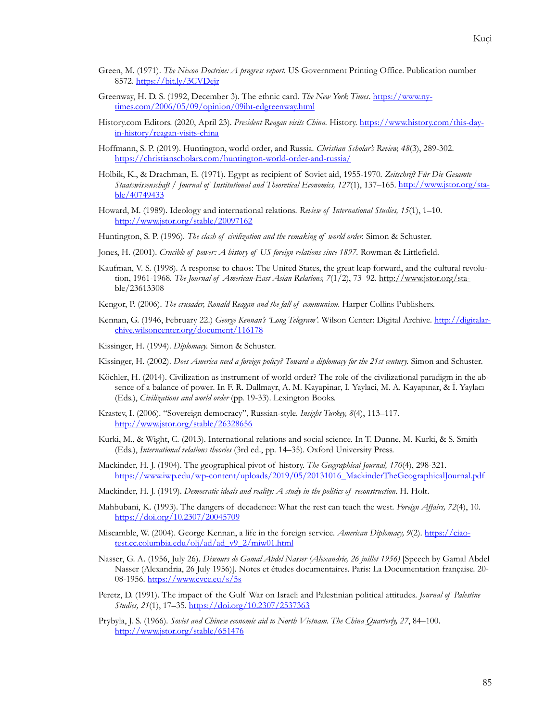- Green, M. (1971). *The Nixon Doctrine: A progress report.* US Government Printing Office. Publication number 8572.<https://bit.ly/3CVDejr>
- Greenway, H. D. S. (1992, December 3). The ethnic card. *The New York Times*. [https://www.ny](https://www.nytimes.com/2006/05/09/opinion/09iht-edgreenway.html)[times.com/2006/05/09/opinion/09iht-edgreenway.html](https://www.nytimes.com/2006/05/09/opinion/09iht-edgreenway.html)
- History.com Editors. (2020, April 23). President Reagan visits China. History. [https://www.history.com/this-](https://www.history.com/this-day-in-history/reagan-visits-china)dayin[-history/reagan-visits-](https://www.history.com/this-day-in-history/reagan-visits-china)china
- Hoffmann, S. P. (2019). Huntington, world order, and Russia*. Christian Scholar's Review, 48*(3), 289-302. [https://christianscholars.com/huntin](https://christianscholars.com/huntington-world-order-and-russia/)gton-world-order-and-russia/
- Holbik, K., & Drachman, E. (1971). Egypt as recipient of Soviet aid, 1955-1970*. Zeitschrift Für Die Gesamte Staatswissenschaft / Journal of Institutional and Theoretical Economics, 127*(1), 137–165. [http://www.jstor.org/sta](http://www.jstor.org/stable/40749433)[ble/40749433](http://www.jstor.org/stable/40749433)
- Howard, M. (1989). Ideology and international relations*. Review of International Studies, 15*(1), 1–10. <http://www.jstor.org/stable/20097162>
- Huntington, S. P. (1996). *The clash of civilization and the remaking of world order.* Simon & Schuster.
- Jones, H. (2001). *Crucible of power: A history of US foreign relations since 1897.* Rowman & Littlefield.
- Kaufman, V. S. (1998). A response to chaos: The United States, the great leap forward, and the cultural revolution, 1961-1968*. The Journal of American-East Asian Relations, 7*(1/2), 73–92. [http://www.jstor.org/sta](http://www.jstor.org/stable/23613308)[ble/23613308](http://www.jstor.org/stable/23613308)
- Kengor, P. (2006). *The crusader, Ronald Reagan and the fall of communism.* Harper Collins Publishers.
- Kennan, G. (1946, February 22.) *George Kennan's 'Long Telegram'.* Wilson Center: Digital Archive. [http://digitalar](http://digitalarchive.wilsoncenter.org/document/116178)[chive.wilsoncenter.org/document/116178](http://digitalarchive.wilsoncenter.org/document/116178)
- Kissinger, H. (1994). *Diplomacy.* Simon & Schuster.
- Kissinger, H. (2002). *Does America need a foreign policy? Toward a diplomacy for the 21st century.* Simon and Schuster.
- Köchler, H. (2014). Civilization as instrument of world order? The role of the civilizational paradigm in the absence of a balance of power*.* In F. R. Dallmayr, A. M. Kayapinar, I. Yaylaci, M. A. Kayapınar, & İ. Yaylacı (Eds.), *Civilizations and world order* (pp. 19-33). Lexington Books.
- Krastev, I. (2006). "Sovereign democracy", Russian-style*. Insight Turkey, 8*(4), 113–117. <http://www.jstor.org/stable/26328656>
- Kurki, M., & Wight, C. (2013). International relations and social science. In T. Dunne, M. Kurki, & S. Smith (Eds.), *International relations theories* (3rd ed., pp. 14–35). Oxford University Press.
- Mackinder, H. J. (1904). The geographical pivot of history. *The Geographical Journal, 170*(4), 298-321. [https://www.iwp.edu/wp-content/uploads/2019/05/20131016\\_MackinderTheGeographicalJournal.pdf](https://www.iwp.edu/wp-content/uploads/2019/05/20131016_MackinderTheGeographicalJournal.pdf)
- Mackinder, H. J. (1919). *Democratic ideals and reality: A study in the politics of reconstruction*. H. Holt.
- Mahbubani, K. (1993). The dangers of decadence: What the rest can teach the west*. Foreign Affairs, 72*(4), 10. <https://doi.org/10.2307/20045709>
- Miscamble, W. (2004). George Kennan, a life in the foreign service*. American Diplomacy, 9*(2). [https://ciao](https://ciaotest.cc.columbia.edu/olj/ad/ad_v9_2/miw01.html)[test.cc.columbia.edu/olj/ad/ad\\_v9\\_2/miw01.html](https://ciaotest.cc.columbia.edu/olj/ad/ad_v9_2/miw01.html)
- Nasser, G. A. (1956, July 26). *Discours de Gamal Abdel Nasser (Alexandrie, 26 juillet 1956)* [Speech by Gamal Abdel Nasser (Alexandria, 26 July 1956)]. Notes et études documentaires. Paris: La Documentation française. 20- 08-1956.<https://www.cvce.eu/s/5s>
- Peretz, D. (1991). The impact of the Gulf War on Israeli and Palestinian political attitudes*. Journal of Palestine Studies, 21*(1), 17–35.<https://doi.org/10.2307/2537363>
- Prybyla, J. S. (1966). *Soviet and Chinese economic aid to North Vietnam. The China Quarterly, 27*, 84–100. <http://www.jstor.org/stable/651476>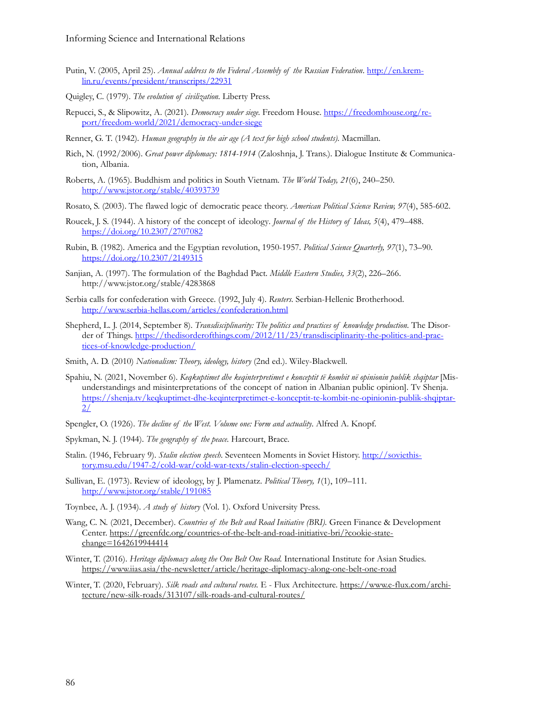- Putin, V. (2005, April 25). *Annual address to the Federal Assembly of the Russian Federation*[. http://en.krem](http://en.kremlin.ru/events/president/transcripts/22931)[lin.ru/events/president/transcripts/22931](http://en.kremlin.ru/events/president/transcripts/22931)
- Quigley, C. (1979). *The evolution of civilization.* Liberty Press.
- Repucci, S., & Slipowitz, A. (2021). *Democracy under siege.* Freedom House. [https://freedomhouse.org/re](https://freedomhouse.org/report/freedom-world/2021/democracy-under-siege)[port/freedom-world/2021/democracy-under-siege](https://freedomhouse.org/report/freedom-world/2021/democracy-under-siege)
- Renner, G. T. (1942). *Human geography in the air age (A text for high school students).* Macmillan.
- Rich, N. (1992/2006). *Great power diplomacy: 1814-1914* (Zaloshnja, J. Trans.). Dialogue Institute & Communication, Albania.
- Roberts, A. (1965). Buddhism and politics in South Vietnam*. The World Today, 21*(6), 240–250. <http://www.jstor.org/stable/40393739>
- Rosato, S. (2003). The flawed logic of democratic peace theory. *American Political Science Review, 97*(4), 585-602.
- Roucek, J. S. (1944). A history of the concept of ideology*. Journal of the History of Ideas, 5*(4), 479–488. <https://doi.org/10.2307/2707082>
- Rubin, B. (1982). America and the Egyptian revolution, 1950-1957*. Political Science Quarterly, 97*(1), 73–90. <https://doi.org/10.2307/2149315>
- Sanjian, A. (1997). The formulation of the Baghdad Pact*. Middle Eastern Studies, 33*(2), 226–266. http://www.jstor.org/stable/4283868
- Serbia calls for confederation with Greece*.* (1992, July 4). *Reuters*. Serbian-Hellenic Brotherhood. <http://www.serbia-hellas.com/articles/confederation.html>
- Shepherd, L. J. (2014, September 8). *Transdisciplinarity: The politics and practices of knowledge production.* The Disorder of Things. [https://thedisorderofthings.com/2012/11/23/transdisciplinarity-](https://thedisorderofthings.com/2012/11/23/transdisciplinarity-the-politics-and-practices-of-knowledge-production/)the-politics-and-prac[tices-of-knowledge-production/](https://thedisorderofthings.com/2012/11/23/transdisciplinarity-the-politics-and-practices-of-knowledge-production/)
- Smith, A. D. (2010) *Nationalism: Theory, ideology, history* (2nd ed.). Wiley-Blackwell.
- Spahiu, N. (2021, November 6). *Keqkuptimet dhe keqinterpretimet e konceptit të kombit në opinionin publik shqiptar* [Misunderstandings and misinterpretations of the concept of nation in Albanian public opinion]. Tv Shenja. [https://shenja.tv/keqkuptimet-](https://shenja.tv/keqkuptimet-dhe-keqinterpretimet-e-konceptit-te-kombit-ne-opinionin-publik-shqiptar-2/)dhe-keqinterpretimet-e-konceptit-te-kombit-ne-opinionin-publik-shqiptar-[2/](https://shenja.tv/keqkuptimet-dhe-keqinterpretimet-e-konceptit-te-kombit-ne-opinionin-publik-shqiptar-2/)
- Spengler, O. (1926). *The decline of the West. Volume one: Form and actuality*. Alfred A. Knopf.
- Spykman, N. J. (1944). *The geography of the peace.* Harcourt, Brace.
- Stalin. (1946, February 9). *Stalin election speech.* Seventeen Moments in Soviet History[. http://soviethis](http://soviethistory.msu.edu/1947-2/cold-war/cold-war-texts/stalin-election-speech/)[tory.msu.edu/1947-2/cold-war/cold-war-texts/stalin-](http://soviethistory.msu.edu/1947-2/cold-war/cold-war-texts/stalin-election-speech/)election-speech/
- Sullivan, E. (1973). Review of ideology, by J. Plamenatz*. Political Theory, 1*(1), 109–111. <http://www.jstor.org/stable/191085>
- Toynbee, A. J. (1934). *A study of history* (Vol. 1). Oxford University Press.
- Wang, C. N. (2021, December). *Countries of the Belt and Road Initiative (BRI).* Green Finance & Development Center. [https://greenfdc.org/countries-of-](https://greenfdc.org/countries-of-the-belt-and-road-initiative-bri/?cookie-state-change=1642619944414)the-belt-and-road-initiative-bri/?cookie-state[change=1642619944414](https://greenfdc.org/countries-of-the-belt-and-road-initiative-bri/?cookie-state-change=1642619944414)
- Winter, T. (2016). *Heritage diplomacy along the One Belt One Road.* International Institute for Asian Studies. [https://www.iias.asia/the-newsletter/article/heritage-diplomacy-](https://www.iias.asia/the-newsletter/article/heritage-diplomacy-along-one-belt-one-road)along-one-belt-one-road
- Winter, T. (2020, February). *Silk roads and cultural routes.* E Flux Architecture. [https://www.e-flux.com/archi](https://www.e-flux.com/architecture/new-silk-roads/313107/silk-roads-and-cultural-routes/)[tecture/new-silk-roads/313107/silk-roads-](https://www.e-flux.com/architecture/new-silk-roads/313107/silk-roads-and-cultural-routes/)and-cultural-routes/